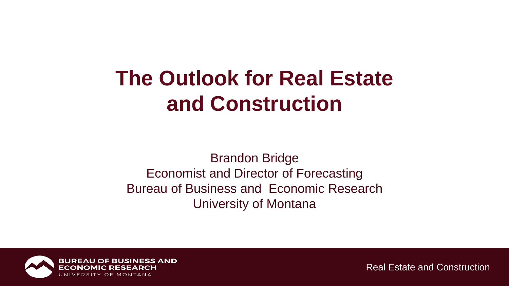## **The Outlook for Real Estate and Construction**

Brandon Bridge Economist and Director of Forecasting Bureau of Business and Economic Research University of Montana

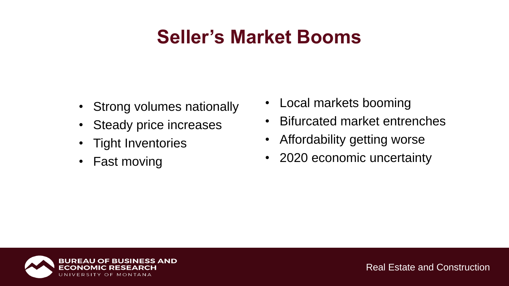### **Seller's Market Booms**

- Strong volumes nationally
- Steady price increases
- Tight Inventories
- Fast moving
- Local markets booming
- Bifurcated market entrenches
- Affordability getting worse
- 2020 economic uncertainty

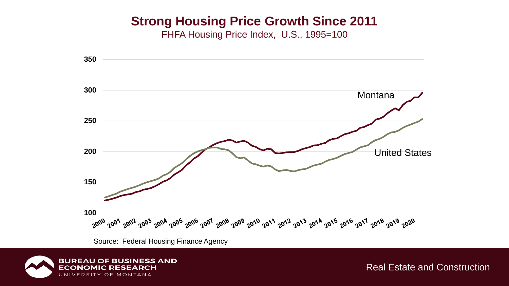### **Strong Housing Price Growth Since 2011**

FHFA Housing Price Index, U.S., 1995=100



Source: Federal Housing Finance Agency

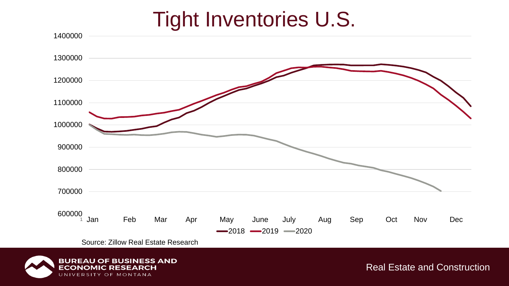## Tight Inventories U.S.



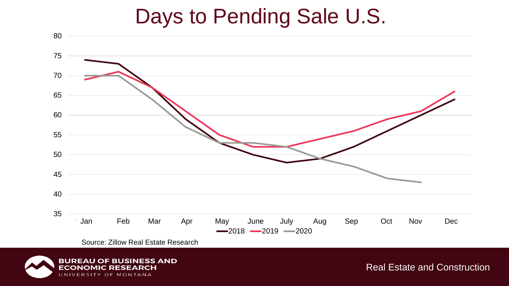### Days to Pending Sale U.S.



Source: Zillow Real Estate Research

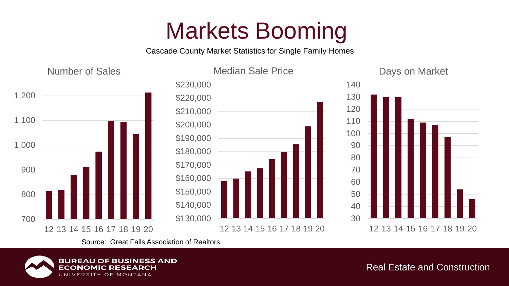Cascade County Market Statistics for Single Family Homes



Days on Market



Source: Great Falls Association of Realtors.

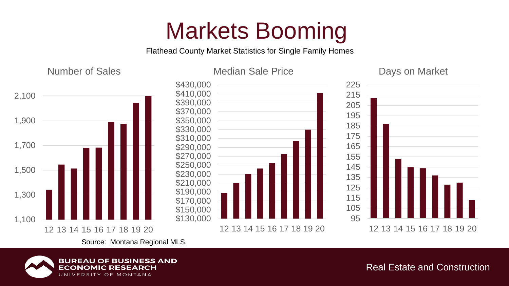Flathead County Market Statistics for Single Family Homes

Number of Sales



Days on Market







Source: Montana Regional MLS.

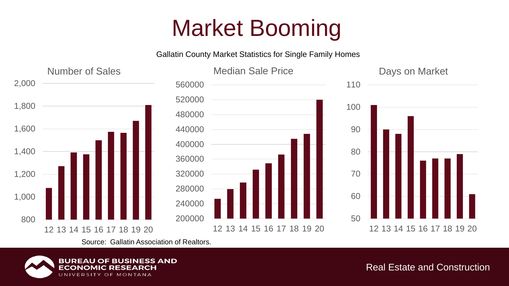Gallatin County Market Statistics for Single Family Homes



Source: Gallatin Association of Realtors.

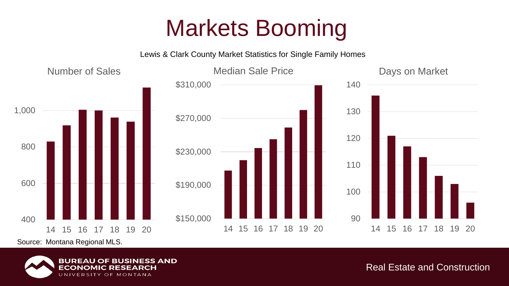Lewis & Clark County Market Statistics for Single Family Homes



Source: Montana Regional MLS.

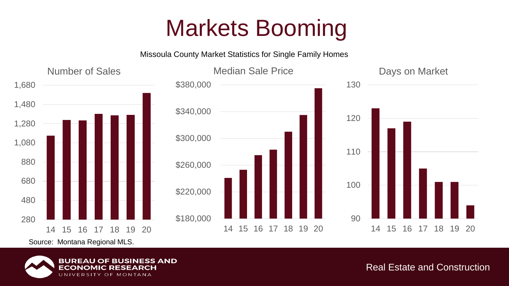Missoula County Market Statistics for Single Family Homes



Source: Montana Regional MLS.

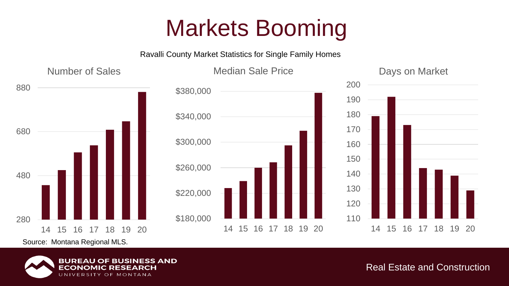Ravalli County Market Statistics for Single Family Homes



Source: Montana Regional MLS.

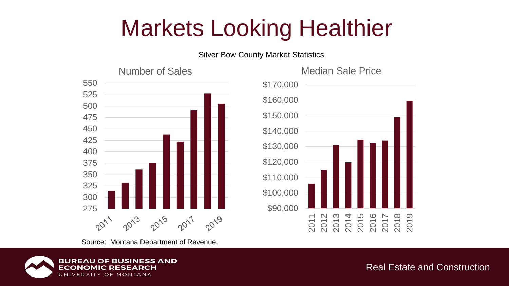# Markets Looking Healthier

Silver Bow County Market Statistics







Source: Montana Department of Revenue.

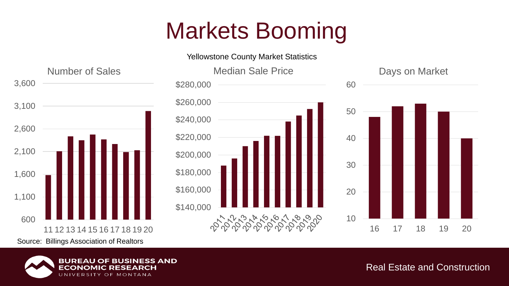Yellowstone County Market Statistics



**BUREAU** 

EC

**OF BUSINESS AND** 

MONTANA

O F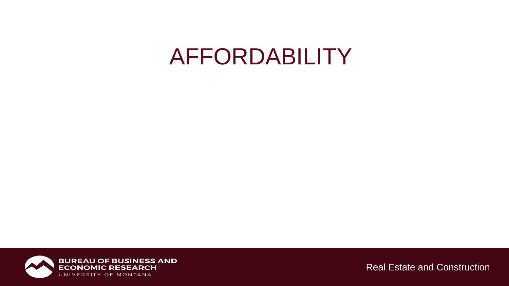## AFFORDABILITY

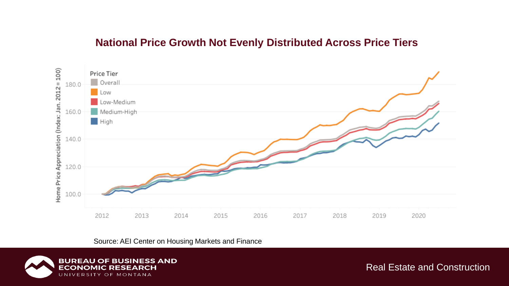#### **National Price Growth Not Evenly Distributed Across Price Tiers**



Source: AEI Center on Housing Markets and Finance

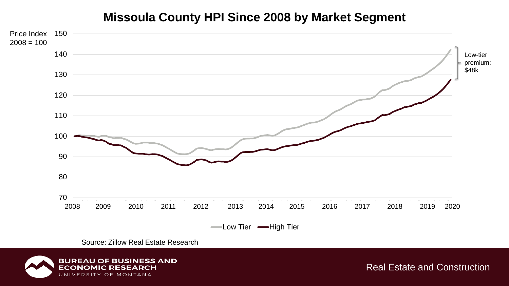#### **Missoula County HPI Since 2008 by Market Segment**



Source: Zillow Real Estate Research

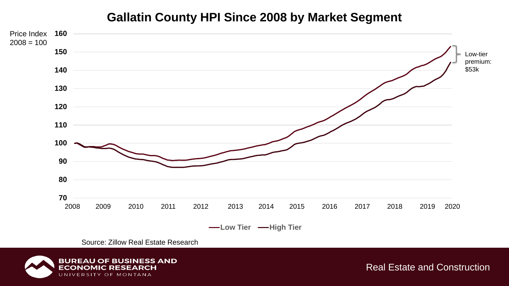### **Gallatin County HPI Since 2008 by Market Segment**



Source: Zillow Real Estate Research

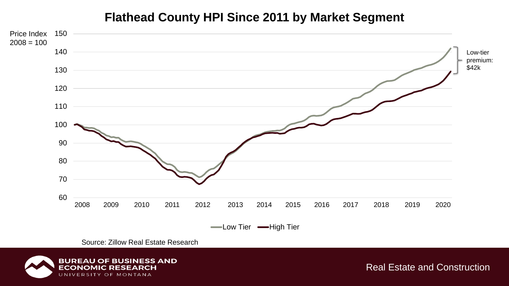#### **Flathead County HPI Since 2011 by Market Segment**



Source: Zillow Real Estate Research

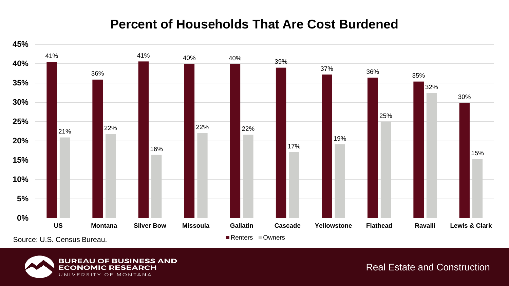### **Percent of Households That Are Cost Burdened**



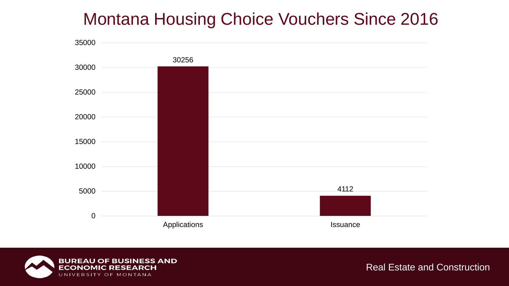### Montana Housing Choice Vouchers Since 2016



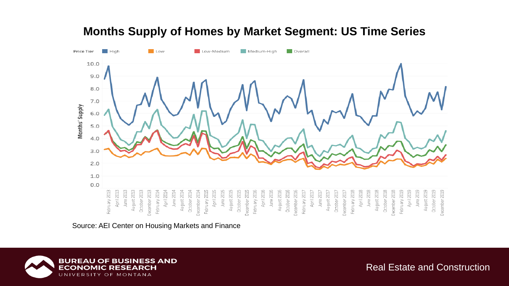

#### **Months Supply of Homes by Market Segment: US Time Series**

Source: AEI Center on Housing Markets and Finance

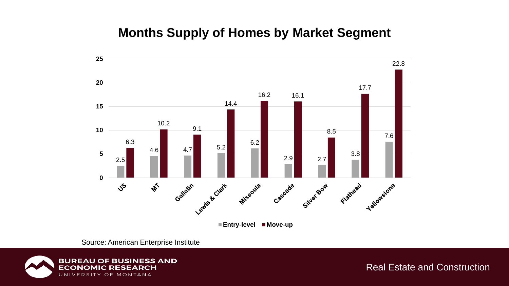### **Months Supply of Homes by Market Segment**



Source: American Enterprise Institute

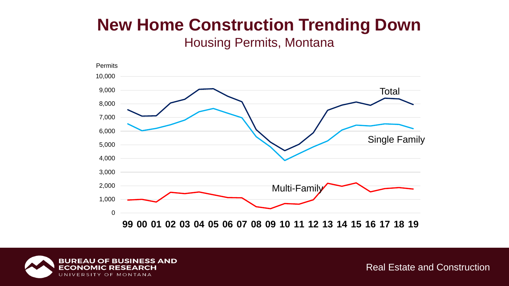### **New Home Construction Trending Down**

Housing Permits, Montana



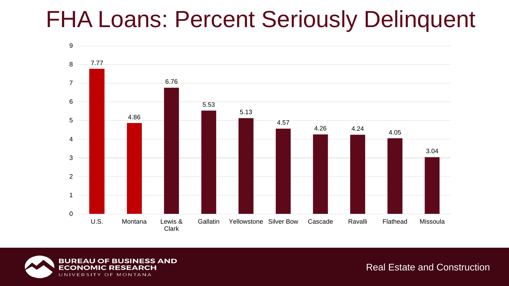# FHA Loans: Percent Seriously Delinquent